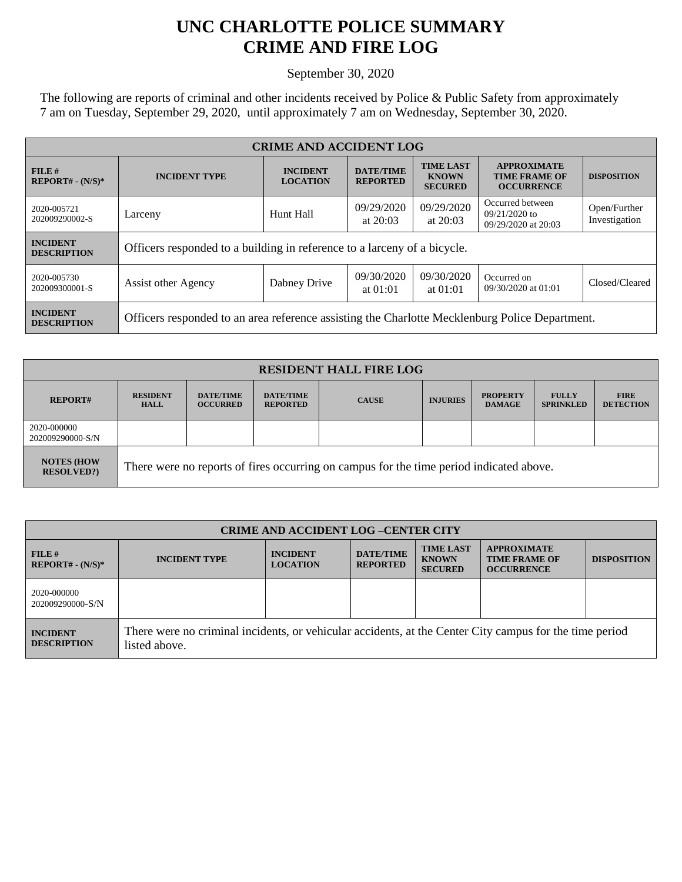## **UNC CHARLOTTE POLICE SUMMARY CRIME AND FIRE LOG**

September 30, 2020

The following are reports of criminal and other incidents received by Police & Public Safety from approximately 7 am on Tuesday, September 29, 2020, until approximately 7 am on Wednesday, September 30, 2020.

| <b>CRIME AND ACCIDENT LOG</b>         |                                                                                                |                                    |                                     |                                                    |                                                                 |                               |  |
|---------------------------------------|------------------------------------------------------------------------------------------------|------------------------------------|-------------------------------------|----------------------------------------------------|-----------------------------------------------------------------|-------------------------------|--|
| FILE#<br>$REPORT# - (N/S)*$           | <b>INCIDENT TYPE</b>                                                                           | <b>INCIDENT</b><br><b>LOCATION</b> | <b>DATE/TIME</b><br><b>REPORTED</b> | <b>TIME LAST</b><br><b>KNOWN</b><br><b>SECURED</b> | <b>APPROXIMATE</b><br><b>TIME FRAME OF</b><br><b>OCCURRENCE</b> | <b>DISPOSITION</b>            |  |
| 2020-005721<br>202009290002-S         | Larceny                                                                                        | Hunt Hall                          | 09/29/2020<br>at $20:03$            | 09/29/2020<br>at $20:03$                           | Occurred between<br>$09/21/2020$ to<br>09/29/2020 at 20:03      | Open/Further<br>Investigation |  |
| <b>INCIDENT</b><br><b>DESCRIPTION</b> | Officers responded to a building in reference to a larceny of a bicycle.                       |                                    |                                     |                                                    |                                                                 |                               |  |
| 2020-005730<br>202009300001-S         | Assist other Agency                                                                            | Dabney Drive                       | 09/30/2020<br>at $01:01$            | 09/30/2020<br>at $01:01$                           | Occurred on<br>09/30/2020 at 01:01                              | Closed/Cleared                |  |
| <b>INCIDENT</b><br><b>DESCRIPTION</b> | Officers responded to an area reference assisting the Charlotte Mecklenburg Police Department. |                                    |                                     |                                                    |                                                                 |                               |  |

| <b>RESIDENT HALL FIRE LOG</b>          |                                                                                         |                                     |                                     |              |                 |                                  |                                  |                                 |
|----------------------------------------|-----------------------------------------------------------------------------------------|-------------------------------------|-------------------------------------|--------------|-----------------|----------------------------------|----------------------------------|---------------------------------|
| <b>REPORT#</b>                         | <b>RESIDENT</b><br><b>HALL</b>                                                          | <b>DATE/TIME</b><br><b>OCCURRED</b> | <b>DATE/TIME</b><br><b>REPORTED</b> | <b>CAUSE</b> | <b>INJURIES</b> | <b>PROPERTY</b><br><b>DAMAGE</b> | <b>FULLY</b><br><b>SPRINKLED</b> | <b>FIRE</b><br><b>DETECTION</b> |
| 2020-000000<br>202009290000-S/N        |                                                                                         |                                     |                                     |              |                 |                                  |                                  |                                 |
| <b>NOTES (HOW)</b><br><b>RESOLVED?</b> | There were no reports of fires occurring on campus for the time period indicated above. |                                     |                                     |              |                 |                                  |                                  |                                 |

| <b>CRIME AND ACCIDENT LOG -CENTER CITY</b> |                                                                                                                          |                                    |                                     |                                                    |                                                                 |                    |  |
|--------------------------------------------|--------------------------------------------------------------------------------------------------------------------------|------------------------------------|-------------------------------------|----------------------------------------------------|-----------------------------------------------------------------|--------------------|--|
| FILE H<br>$REPORT# - (N/S)*$               | <b>INCIDENT TYPE</b>                                                                                                     | <b>INCIDENT</b><br><b>LOCATION</b> | <b>DATE/TIME</b><br><b>REPORTED</b> | <b>TIME LAST</b><br><b>KNOWN</b><br><b>SECURED</b> | <b>APPROXIMATE</b><br><b>TIME FRAME OF</b><br><b>OCCURRENCE</b> | <b>DISPOSITION</b> |  |
| 2020-000000<br>202009290000-S/N            |                                                                                                                          |                                    |                                     |                                                    |                                                                 |                    |  |
| <b>INCIDENT</b><br><b>DESCRIPTION</b>      | There were no criminal incidents, or vehicular accidents, at the Center City campus for the time period<br>listed above. |                                    |                                     |                                                    |                                                                 |                    |  |